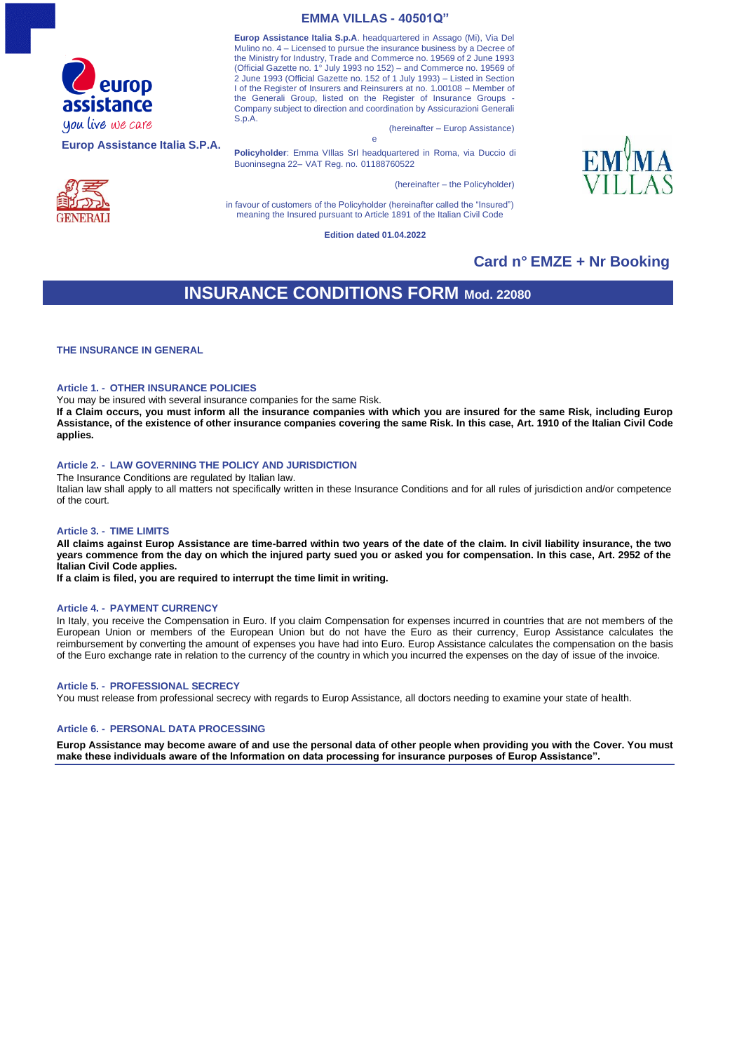

**Europ Assistance Italia S.P.A.**



**Europ Assistance Italia S.p.A**. headquartered in Assago (Mi), Via Del Mulino no. 4 – Licensed to pursue the insurance business by a Decree of the Ministry for Industry, Trade and Commerce no. 19569 of 2 June 1993 (Official Gazette no. 1° July 1993 no 152) – and Commerce no. 19569 of 2 June 1993 (Official Gazette no. 152 of 1 July 1993) – Listed in Section I of the Register of Insurers and Reinsurers at no. 1.00108 – Member of the Generali Group, listed on the Register of Insurance Groups Company subject to direction and coordination by Assicurazioni Generali S.p.A.

(hereinafter – Europ Assistance) e

**Policyholder**: Emma VIllas Srl headquartered in Roma, via Duccio di Buoninsegna 22– VAT Reg. no. 01188760522

(hereinafter – the Policyholder)

in favour of customers of the Policyholder (hereinafter called the "Insured") meaning the Insured pursuant to Article 1891 of the Italian Civil Code

**Edition dated 01.04.2022**

## **Card n° EMZE + Nr Booking**

# **INSURANCE CONDITIONS FORM Mod. 22080**

**THE INSURANCE IN GENERAL**

### **Article 1. - OTHER INSURANCE POLICIES**

You may be insured with several insurance companies for the same Risk.

**If a Claim occurs, you must inform all the insurance companies with which you are insured for the same Risk, including Europ Assistance, of the existence of other insurance companies covering the same Risk. In this case, Art. 1910 of the Italian Civil Code applies.**

### **Article 2. - LAW GOVERNING THE POLICY AND JURISDICTION**

The Insurance Conditions are regulated by Italian law.

Italian law shall apply to all matters not specifically written in these Insurance Conditions and for all rules of jurisdiction and/or competence of the court.

### **Article 3. - TIME LIMITS**

**All claims against Europ Assistance are time-barred within two years of the date of the claim. In civil liability insurance, the two years commence from the day on which the injured party sued you or asked you for compensation. In this case, Art. 2952 of the Italian Civil Code applies.**

**If a claim is filed, you are required to interrupt the time limit in writing.**

### **Article 4. - PAYMENT CURRENCY**

In Italy, you receive the Compensation in Euro. If you claim Compensation for expenses incurred in countries that are not members of the European Union or members of the European Union but do not have the Euro as their currency, Europ Assistance calculates the reimbursement by converting the amount of expenses you have had into Euro. Europ Assistance calculates the compensation on the basis of the Euro exchange rate in relation to the currency of the country in which you incurred the expenses on the day of issue of the invoice.

#### **Article 5. - PROFESSIONAL SECRECY**

You must release from professional secrecy with regards to Europ Assistance, all doctors needing to examine your state of health.

### **Article 6. - PERSONAL DATA PROCESSING**

**Europ Assistance may become aware of and use the personal data of other people when providing you with the Cover. You must make these individuals aware of the Information on data processing for insurance purposes of Europ Assistance".**

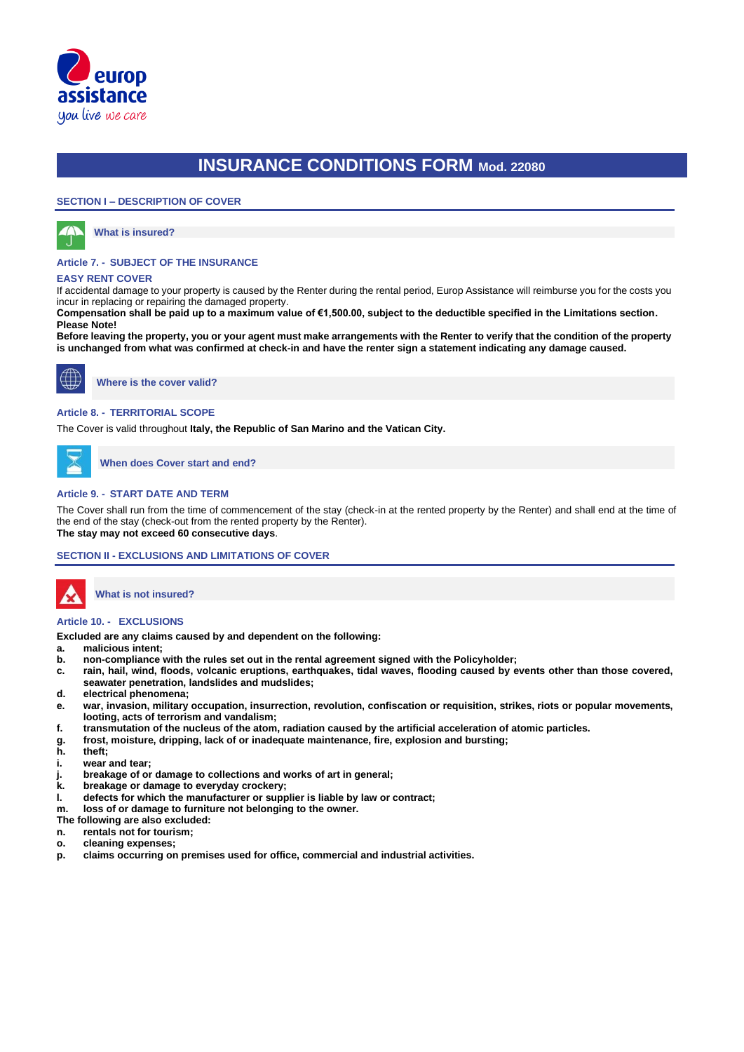

### **SECTION I – DESCRIPTION OF COVER**



**What is insured?**

### **Article 7. - SUBJECT OF THE INSURANCE**

### **EASY RENT COVER**

If accidental damage to your property is caused by the Renter during the rental period, Europ Assistance will reimburse you for the costs you incur in replacing or repairing the damaged property.

**Compensation shall be paid up to a maximum value of €1,500.00, subject to the deductible specified in the Limitations section. Please Note!**

**Before leaving the property, you or your agent must make arrangements with the Renter to verify that the condition of the property is unchanged from what was confirmed at check-in and have the renter sign a statement indicating any damage caused.**



**Where is the cover valid?**

### **Article 8. - TERRITORIAL SCOPE**

The Cover is valid throughout **Italy, the Republic of San Marino and the Vatican City.**

**When does Cover start and end?**

### **Article 9. - START DATE AND TERM**

The Cover shall run from the time of commencement of the stay (check-in at the rented property by the Renter) and shall end at the time of the end of the stay (check-out from the rented property by the Renter). **The stay may not exceed 60 consecutive days**.

### **SECTION II - EXCLUSIONS AND LIMITATIONS OF COVER**



**What is not insured?** 

## **Article 10. - EXCLUSIONS**

**Excluded are any claims caused by and dependent on the following:**

**a. malicious intent;**

- **b. non-compliance with the rules set out in the rental agreement signed with the Policyholder;**
- **c. rain, hail, wind, floods, volcanic eruptions, earthquakes, tidal waves, flooding caused by events other than those covered, seawater penetration, landslides and mudslides;**
- **d. electrical phenomena;**
- **e. war, invasion, military occupation, insurrection, revolution, confiscation or requisition, strikes, riots or popular movements, looting, acts of terrorism and vandalism;**
- **f. transmutation of the nucleus of the atom, radiation caused by the artificial acceleration of atomic particles.**
- **g. frost, moisture, dripping, lack of or inadequate maintenance, fire, explosion and bursting;**
- **h. theft;**
- **i. wear and tear;**
- **j. breakage of or damage to collections and works of art in general;**
- **k. breakage or damage to everyday crockery;**
- **l. defects for which the manufacturer or supplier is liable by law or contract;**
- **m. loss of or damage to furniture not belonging to the owner.**

**The following are also excluded:**

- **n. rentals not for tourism;**
- **o. cleaning expenses;**
- **p. claims occurring on premises used for office, commercial and industrial activities.**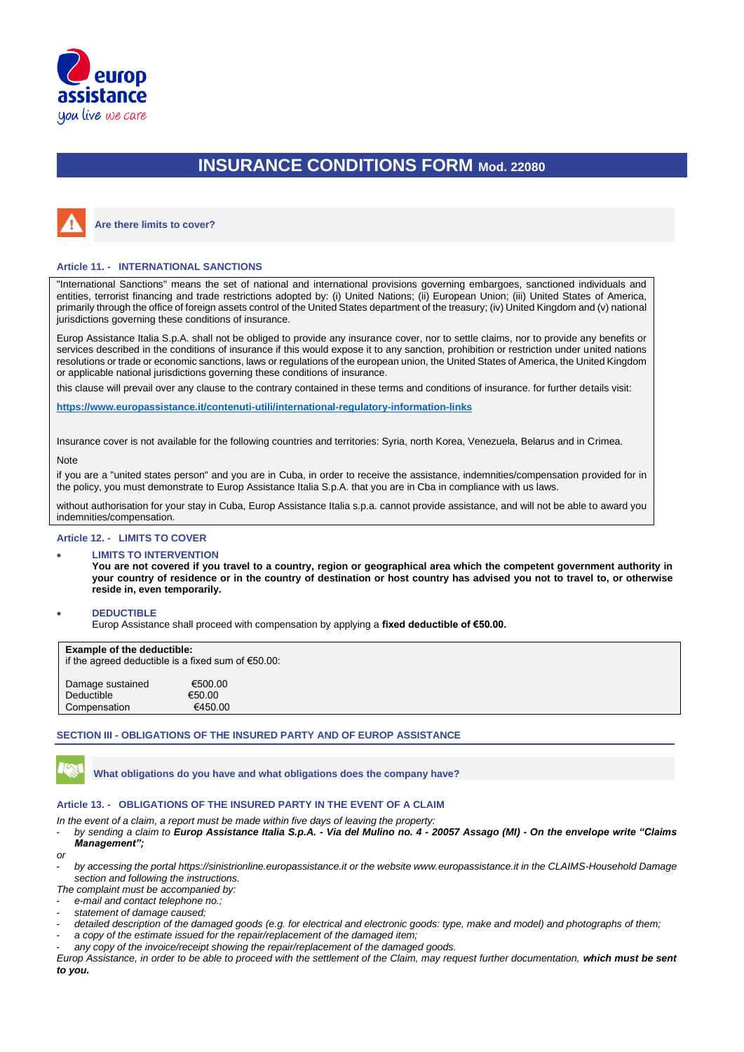



**Are there limits to cover?**

## **Article 11. - INTERNATIONAL SANCTIONS**

"International Sanctions" means the set of national and international provisions governing embargoes, sanctioned individuals and entities, terrorist financing and trade restrictions adopted by: (i) United Nations; (ii) European Union; (iii) United States of America, primarily through the office of foreign assets control of the United States department of the treasury; (iv) United Kingdom and (v) national jurisdictions governing these conditions of insurance.

Europ Assistance Italia S.p.A. shall not be obliged to provide any insurance cover, nor to settle claims, nor to provide any benefits or services described in the conditions of insurance if this would expose it to any sanction, prohibition or restriction under united nations resolutions or trade or economic sanctions, laws or regulations of the european union, the United States of America, the United Kingdom or applicable national jurisdictions governing these conditions of insurance.

this clause will prevail over any clause to the contrary contained in these terms and conditions of insurance. for further details visit:

**https:/[/www.europassistance.it/contenuti-utili/international-regulatory-information-links](http://www.europassistance.it/contenuti-utili/international-regulatory-information-links)**

Insurance cover is not available for the following countries and territories: Syria, north Korea, Venezuela, Belarus and in Crimea.

## Note

if you are a "united states person" and you are in Cuba, in order to receive the assistance, indemnities/compensation provided for in the policy, you must demonstrate to Europ Assistance Italia S.p.A. that you are in Cba in compliance with us laws.

without authorisation for your stay in Cuba, Europ Assistance Italia s.p.a. cannot provide assistance, and will not be able to award you indemnities/compensation.

### **Article 12. - LIMITS TO COVER**

### • **LIMITS TO INTERVENTION**

**You are not covered if you travel to a country, region or geographical area which the competent government authority in your country of residence or in the country of destination or host country has advised you not to travel to, or otherwise reside in, even temporarily.**

#### • **DEDUCTIBLE**

Europ Assistance shall proceed with compensation by applying a **fixed deductible of €50.00.**

| <b>Example of the deductible:</b> |  |  |  |  |  |
|-----------------------------------|--|--|--|--|--|
|-----------------------------------|--|--|--|--|--|

| <b>Example of the deductible:</b><br>if the agreed deductible is a fixed sum of $€50.00$ : |                              |  |  |
|--------------------------------------------------------------------------------------------|------------------------------|--|--|
| Damage sustained<br>Deductible<br>Compensation                                             | €500.00<br>€50.00<br>€450.00 |  |  |

#### **SECTION III - OBLIGATIONS OF THE INSURED PARTY AND OF EUROP ASSISTANCE**

**What obligations do you have and what obligations does the company have?**

### **Article 13. - OBLIGATIONS OF THE INSURED PARTY IN THE EVENT OF A CLAIM**

*In the event of a claim, a report must be made within five days of leaving the property:*

- *by sending a claim to Europ Assistance Italia S.p.A. - Via del Mulino no. 4 - 20057 Assago (MI) - On the envelope write "Claims Management";*

*or*

- *by accessing the portal [https://sinistrionline.europassistance.it](https://sinistrionline.europassistance.it/) or the websit[e www.europassistance.it](http://www.europassistance.it/) in the CLAIMS-Household Damage section and following the instructions.*

*The complaint must be accompanied by:*

- *e-mail and contact telephone no.;*
- *statement of damage caused;*
- *detailed description of the damaged goods (e.g. for electrical and electronic goods: type, make and model) and photographs of them;*
- a copy of the estimate issued for the repair/replacement of the damaged item; any copy of the invoice/receipt showing the repair/replacement of the damaged goods.

*Europ Assistance, in order to be able to proceed with the settlement of the Claim, may request further documentation, which must be sent to you.*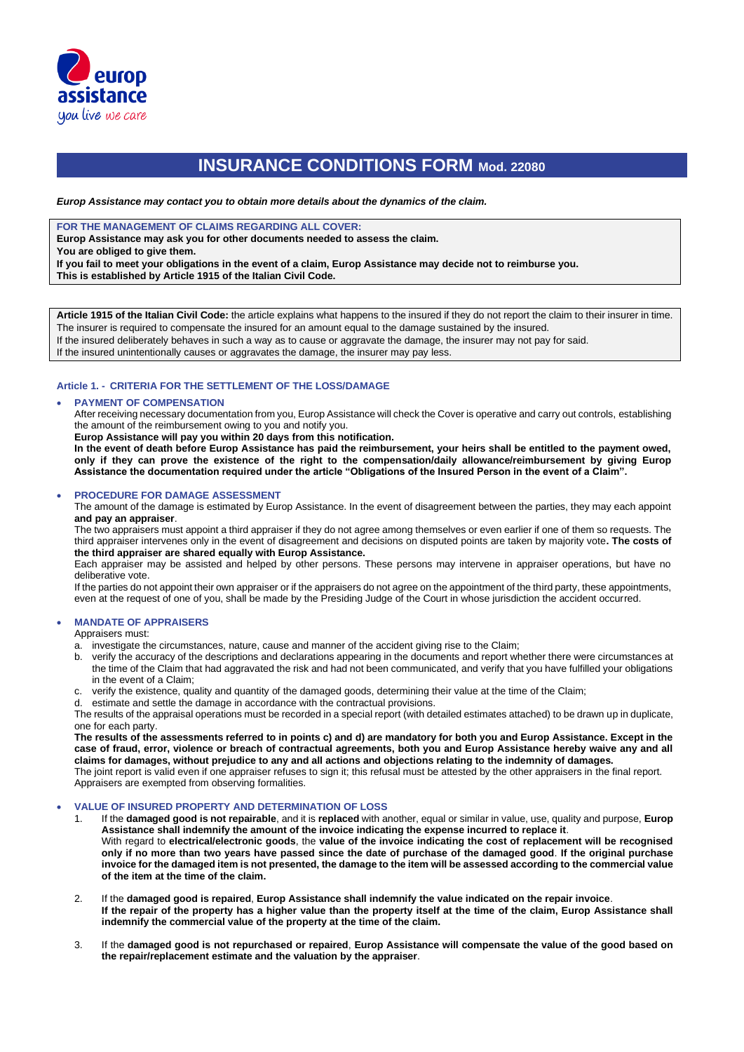

*Europ Assistance may contact you to obtain more details about the dynamics of the claim.*

**FOR THE MANAGEMENT OF CLAIMS REGARDING ALL COVER:**

**Europ Assistance may ask you for other documents needed to assess the claim.** 

**You are obliged to give them.** 

**If you fail to meet your obligations in the event of a claim, Europ Assistance may decide not to reimburse you.** 

**This is established by Article 1915 of the Italian Civil Code.**

**Article 1915 of the Italian Civil Code:** the article explains what happens to the insured if they do not report the claim to their insurer in time. The insurer is required to compensate the insured for an amount equal to the damage sustained by the insured. If the insured deliberately behaves in such a way as to cause or aggravate the damage, the insurer may not pay for said.

If the insured unintentionally causes or aggravates the damage, the insurer may pay less.

### **Article 1. - CRITERIA FOR THE SETTLEMENT OF THE LOSS/DAMAGE**

### • **PAYMENT OF COMPENSATION**

After receiving necessary documentation from you, Europ Assistance will check the Cover is operative and carry out controls, establishing the amount of the reimbursement owing to you and notify you.

**Europ Assistance will pay you within 20 days from this notification.**

**In the event of death before Europ Assistance has paid the reimbursement, your heirs shall be entitled to the payment owed, only if they can prove the existence of the right to the compensation/daily allowance/reimbursement by giving Europ Assistance the documentation required under the article "Obligations of the Insured Person in the event of a Claim".** 

### • **PROCEDURE FOR DAMAGE ASSESSMENT**

The amount of the damage is estimated by Europ Assistance. In the event of disagreement between the parties, they may each appoint **and pay an appraiser**.

The two appraisers must appoint a third appraiser if they do not agree among themselves or even earlier if one of them so requests. The third appraiser intervenes only in the event of disagreement and decisions on disputed points are taken by majority vote**. The costs of the third appraiser are shared equally with Europ Assistance.**

Each appraiser may be assisted and helped by other persons. These persons may intervene in appraiser operations, but have no deliberative vote.

If the parties do not appoint their own appraiser or if the appraisers do not agree on the appointment of the third party, these appointments, even at the request of one of you, shall be made by the Presiding Judge of the Court in whose jurisdiction the accident occurred.

## • **MANDATE OF APPRAISERS**

Appraisers must:

a. investigate the circumstances, nature, cause and manner of the accident giving rise to the Claim;

- b. verify the accuracy of the descriptions and declarations appearing in the documents and report whether there were circumstances at the time of the Claim that had aggravated the risk and had not been communicated, and verify that you have fulfilled your obligations in the event of a Claim;
- c. verify the existence, quality and quantity of the damaged goods, determining their value at the time of the Claim;
- d. estimate and settle the damage in accordance with the contractual provisions.

The results of the appraisal operations must be recorded in a special report (with detailed estimates attached) to be drawn up in duplicate, one for each party.

**The results of the assessments referred to in points c) and d) are mandatory for both you and Europ Assistance. Except in the case of fraud, error, violence or breach of contractual agreements, both you and Europ Assistance hereby waive any and all claims for damages, without prejudice to any and all actions and objections relating to the indemnity of damages.**

The joint report is valid even if one appraiser refuses to sign it; this refusal must be attested by the other appraisers in the final report. Appraisers are exempted from observing formalities.

### • **VALUE OF INSURED PROPERTY AND DETERMINATION OF LOSS**

- 1. If the **damaged good is not repairable**, and it is **replaced** with another, equal or similar in value, use, quality and purpose, **Europ Assistance shall indemnify the amount of the invoice indicating the expense incurred to replace it**. With regard to **electrical/electronic goods**, the **value of the invoice indicating the cost of replacement will be recognised only if no more than two years have passed since the date of purchase of the damaged good**. **If the original purchase invoice for the damaged item is not presented, the damage to the item will be assessed according to the commercial value of the item at the time of the claim.**
- 2. If the **damaged good is repaired**, **Europ Assistance shall indemnify the value indicated on the repair invoice**. **If the repair of the property has a higher value than the property itself at the time of the claim, Europ Assistance shall indemnify the commercial value of the property at the time of the claim.**
- 3. If the **damaged good is not repurchased or repaired**, **Europ Assistance will compensate the value of the good based on the repair/replacement estimate and the valuation by the appraiser**.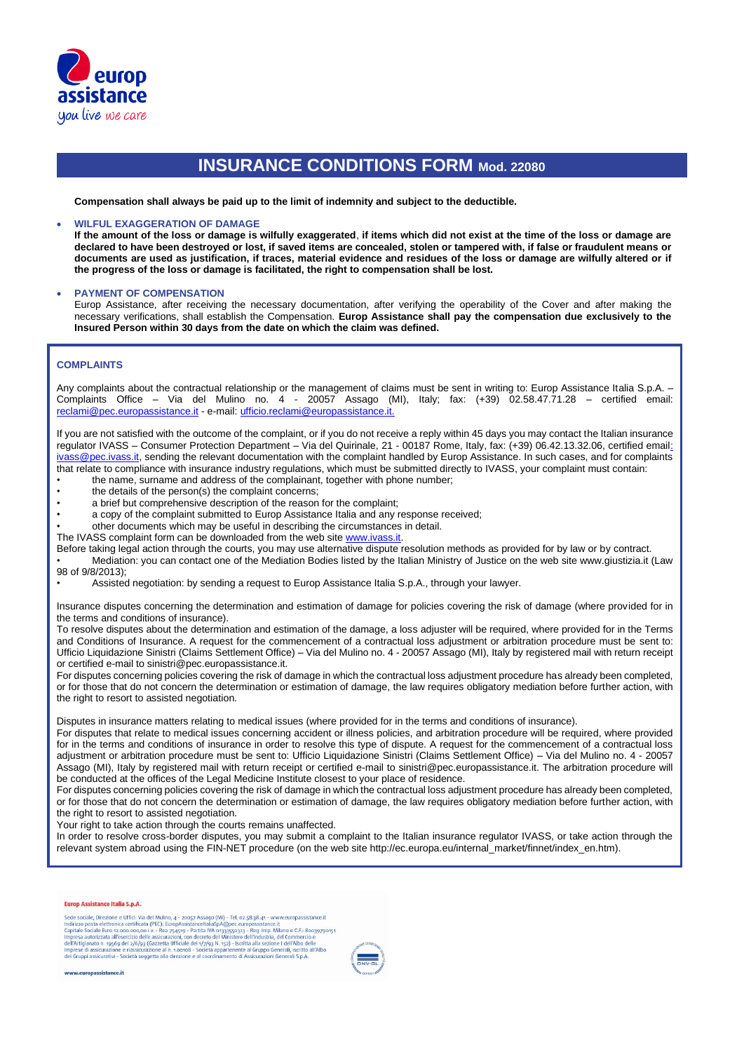

**Compensation shall always be paid up to the limit of indemnity and subject to the deductible.**

### • **WILFUL EXAGGERATION OF DAMAGE**

**If the amount of the loss or damage is wilfully exaggerated**, **if items which did not exist at the time of the loss or damage are declared to have been destroyed or lost, if saved items are concealed, stolen or tampered with, if false or fraudulent means or documents are used as justification, if traces, material evidence and residues of the loss or damage are wilfully altered or if the progress of the loss or damage is facilitated, the right to compensation shall be lost.**

### • **PAYMENT OF COMPENSATION**

Europ Assistance, after receiving the necessary documentation, after verifying the operability of the Cover and after making the necessary verifications, shall establish the Compensation. **Europ Assistance shall pay the compensation due exclusively to the Insured Person within 30 days from the date on which the claim was defined.**

### **COMPLAINTS**

Any complaints about the contractual relationship or the management of claims must be sent in writing to: Europ Assistance Italia S.p.A. – Complaints Office – Via del Mulino no. 4 - 20057 Assago (MI), Italy; fax: (+39) 02.58.47.71.28 – certified email: reclami@pec.europassistance.it - e-mail: ufficio.reclami@europassistance.it.

If you are not satisfied with the outcome of the complaint, or if you do not receive a reply within 45 days you may contact the Italian insurance regulator IVASS – Consumer Protection Department – Via del Quirinale, 21 - 00187 Rome, Italy, fax: (+39) 06.42.13.32.06, certified email: ivass@pec.ivass.it, sending the relevant documentation with the complaint handled by Europ Assistance. In such cases, and for complaints that relate to compliance with insurance industry regulations, which must be submitted directly to IVASS, your complaint must contain:

- the name, surname and address of the complainant, together with phone number;<br>• the details of the person(s) the complaint concerns; the details of the person(s) the complaint concerns:
- 
- a brief but comprehensive description of the reason for the complaint;
- a copy of the complaint submitted to Europ Assistance Italia and any response received;
- other documents which may be useful in describing the circumstances in detail.
- The IVASS complaint form can be downloaded from the web site www.ivass.it.

Before taking legal action through the courts, you may use alternative dispute resolution methods as provided for by law or by contract. • Mediation: you can contact one of the Mediation Bodies listed by the Italian Ministry of Justice on the web site www.giustizia.it (Law 98 of 9/8/2013);

• Assisted negotiation: by sending a request to Europ Assistance Italia S.p.A., through your lawyer.

Insurance disputes concerning the determination and estimation of damage for policies covering the risk of damage (where provided for in the terms and conditions of insurance).

To resolve disputes about the determination and estimation of the damage, a loss adjuster will be required, where provided for in the Terms and Conditions of Insurance. A request for the commencement of a contractual loss adjustment or arbitration procedure must be sent to: Ufficio Liquidazione Sinistri (Claims Settlement Office) – Via del Mulino no. 4 - 20057 Assago (MI), Italy by registered mail with return receipt or certified e-mail to sinistri@pec.europassistance.it.

For disputes concerning policies covering the risk of damage in which the contractual loss adjustment procedure has already been completed, or for those that do not concern the determination or estimation of damage, the law requires obligatory mediation before further action, with the right to resort to assisted negotiation.

Disputes in insurance matters relating to medical issues (where provided for in the terms and conditions of insurance).

For disputes that relate to medical issues concerning accident or illness policies, and arbitration procedure will be required, where provided for in the terms and conditions of insurance in order to resolve this type of dispute. A request for the commencement of a contractual loss adjustment or arbitration procedure must be sent to: Ufficio Liquidazione Sinistri (Claims Settlement Office) – Via del Mulino no. 4 - 20057 Assago (MI), Italy by registered mail with return receipt or certified e-mail to sinistri@pec.europassistance.it. The arbitration procedure will be conducted at the offices of the Legal Medicine Institute closest to your place of residence.

For disputes concerning policies covering the risk of damage in which the contractual loss adjustment procedure has already been completed, or for those that do not concern the determination or estimation of damage, the law requires obligatory mediation before further action, with the right to resort to assisted negotiation.

Your right to take action through the courts remains unaffected.

In order to resolve cross-border disputes, you may submit a complaint to the Italian insurance regulator IVASS, or take action through the relevant system abroad using the FIN-NET procedure (on the web site http://ec.europa.eu/internal\_market/finnet/index\_en.htm).

#### Europ Assistance Italia S.p.A.

Sede sociale, Direzione e Uffici: Via del Mulino, 4 - 20057 Assago (MI) - Tel. 02.58.38.41 - www.europassistance.it<br>Indirizzo posta elettronica certificata (PEC): EuropAssistanceItaliaSpA@pec.europassistance.it<br>Capitale So



www.europassistance.it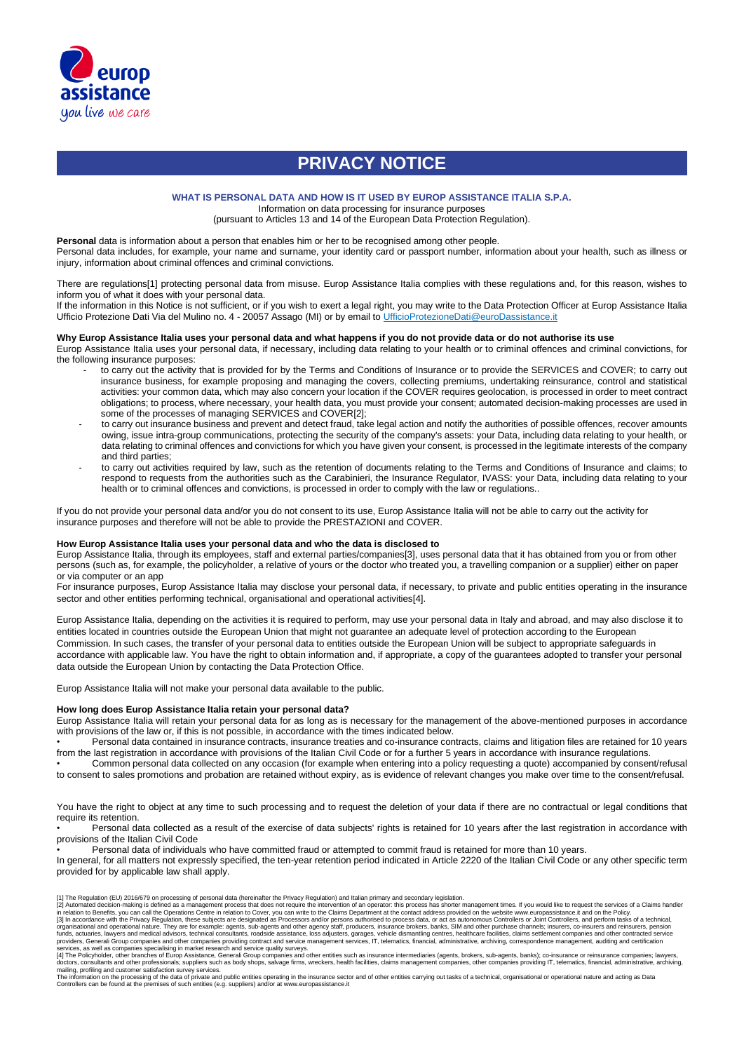

# **PRIVACY NOTICE**

### **WHAT IS PERSONAL DATA AND HOW IS IT USED BY EUROP ASSISTANCE ITALIA S.P.A.**

Information on data processing for insurance purposes

(pursuant to Articles 13 and 14 of the European Data Protection Regulation).

Personal data is information about a person that enables him or her to be recognised among other people.

Personal data includes, for example, your name and surname, your identity card or passport number, information about your health, such as illness or injury, information about criminal offences and criminal convictions.

There are regulations[1] protecting personal data from misuse. Europ Assistance Italia complies with these regulations and, for this reason, wishes to inform you of what it does with your personal data.

If the information in this Notice is not sufficient, or if you wish to exert a legal right, you may write to the Data Protection Officer at Europ Assistance Italia Ufficio Protezione Dati Via del Mulino no. 4 - 20057 Assago (MI) or by email to UfficioProtezioneDati@euroDassistance.it

### **Why Europ Assistance Italia uses your personal data and what happens if you do not provide data or do not authorise its use**

Europ Assistance Italia uses your personal data, if necessary, including data relating to your health or to criminal offences and criminal convictions, for the following insurance purposes:

- to carry out the activity that is provided for by the Terms and Conditions of Insurance or to provide the SERVICES and COVER; to carry out insurance business, for example proposing and managing the covers, collecting premiums, undertaking reinsurance, control and statistical activities: your common data, which may also concern your location if the COVER requires geolocation, is processed in order to meet contract obligations; to process, where necessary, your health data, you must provide your consent; automated decision-making processes are used in some of the processes of managing SERVICES and COVER[2];
- to carry out insurance business and prevent and detect fraud, take legal action and notify the authorities of possible offences, recover amounts owing, issue intra-group communications, protecting the security of the company's assets: your Data, including data relating to your health, or data relating to criminal offences and convictions for which you have given your consent, is processed in the legitimate interests of the company and third parties;
- to carry out activities required by law, such as the retention of documents relating to the Terms and Conditions of Insurance and claims; to respond to requests from the authorities such as the Carabinieri, the Insurance Regulator, IVASS: your Data, including data relating to your health or to criminal offences and convictions, is processed in order to comply with the law or regulations..

If you do not provide your personal data and/or you do not consent to its use, Europ Assistance Italia will not be able to carry out the activity for insurance purposes and therefore will not be able to provide the PRESTAZIONI and COVER.

#### **How Europ Assistance Italia uses your personal data and who the data is disclosed to**

Europ Assistance Italia, through its employees, staff and external parties/companies[3], uses personal data that it has obtained from you or from other persons (such as, for example, the policyholder, a relative of yours or the doctor who treated you, a travelling companion or a supplier) either on paper or via computer or an app

For insurance purposes, Europ Assistance Italia may disclose your personal data, if necessary, to private and public entities operating in the insurance sector and other entities performing technical, organisational and operational activities[4].

Europ Assistance Italia, depending on the activities it is required to perform, may use your personal data in Italy and abroad, and may also disclose it to entities located in countries outside the European Union that might not guarantee an adequate level of protection according to the European Commission. In such cases, the transfer of your personal data to entities outside the European Union will be subject to appropriate safeguards in accordance with applicable law. You have the right to obtain information and, if appropriate, a copy of the guarantees adopted to transfer your personal data outside the European Union by contacting the Data Protection Office.

Europ Assistance Italia will not make your personal data available to the public.

## **How long does Europ Assistance Italia retain your personal data?**

Europ Assistance Italia will retain your personal data for as long as is necessary for the management of the above-mentioned purposes in accordance with provisions of the law or, if this is not possible, in accordance with the times indicated below.

• Personal data contained in insurance contracts, insurance treaties and co-insurance contracts, claims and litigation files are retained for 10 years from the last registration in accordance with provisions of the Italian Civil Code or for a further 5 years in accordance with insurance regulations.

• Common personal data collected on any occasion (for example when entering into a policy requesting a quote) accompanied by consent/refusal to consent to sales promotions and probation are retained without expiry, as is evidence of relevant changes you make over time to the consent/refusal.

You have the right to object at any time to such processing and to request the deletion of your data if there are no contractual or legal conditions that require its retention.

• Personal data collected as a result of the exercise of data subjects' rights is retained for 10 years after the last registration in accordance with provisions of the Italian Civil Code

• Personal data of individuals who have committed fraud or attempted to commit fraud is retained for more than 10 years.

In general, for all matters not expressly specified, the ten-year retention period indicated in Article 2220 of the Italian Civil Code or any other specific term provided for by applicable law shall apply.

<sup>[1]</sup> The Regulation (EU) 2016/679 on processing of personal data (hereinafter the Privacy Regulation) and Italian primary and secondary legislation.

<sup>[2]</sup> Automated decision-making is defined as a management process that does not require the intervention of an operator: this process has shorter management times. If you would like to request the services of a Claims handl

organisational and operational nature. They are for example: agents, sub-agents and other agency staff, producers, insurance brokers, banks, SIM and other purchase channels; insurers, co-insurers and reinsurers, pension<br>fu

services, as well as companies specialising in market research and service quality surveys.<br>[4] The Policyholder, other branches of Europ Assistance, Generali Group companies and other entities such as insurance intermedia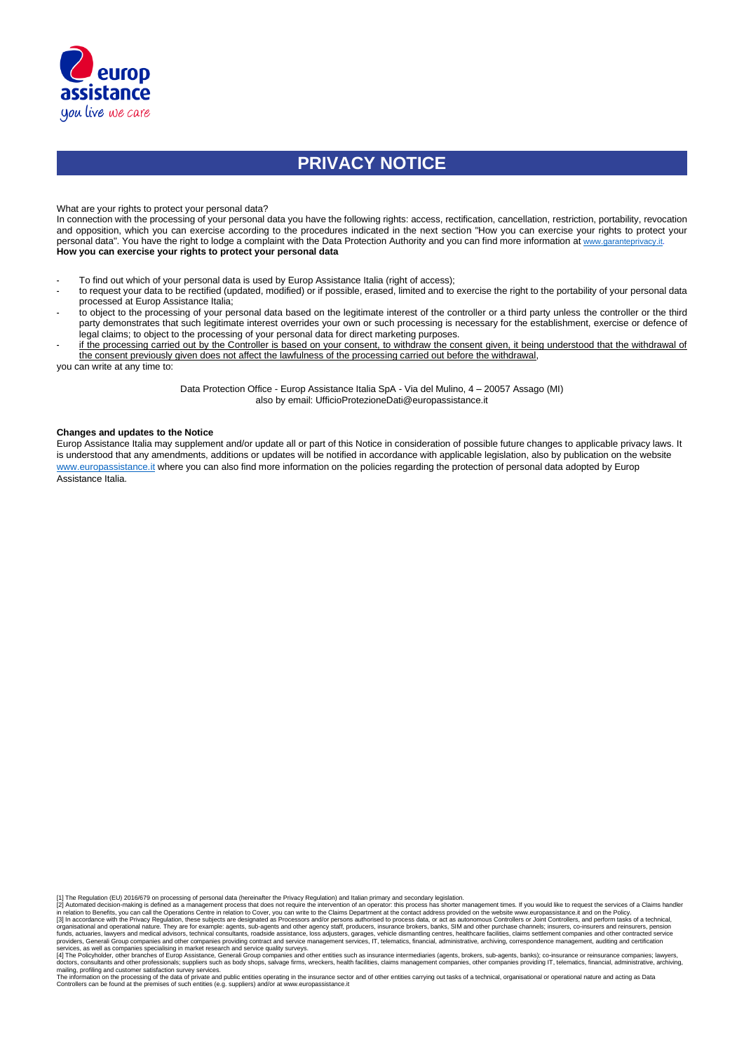

# **PRIVACY NOTICE**

What are your rights to protect your personal data?

In connection with the processing of your personal data you have the following rights: access, rectification, cancellation, restriction, portability, revocation and opposition, which you can exercise according to the procedures indicated in the next section "How you can exercise your rights to protect your personal data". You have the right to lodge a complaint with the Data Protection Authority and you can find more information at [www.garanteprivacy.it.](http://www.garanteprivacy.it/) **How you can exercise your rights to protect your personal data**

- To find out which of your personal data is used by Europ Assistance Italia (right of access);
- to request your data to be rectified (updated, modified) or if possible, erased, limited and to exercise the right to the portability of your personal data processed at Europ Assistance Italia;
- to object to the processing of your personal data based on the legitimate interest of the controller or a third party unless the controller or the third party demonstrates that such legitimate interest overrides your own or such processing is necessary for the establishment, exercise or defence of legal claims; to object to the processing of your personal data for direct marketing purposes.
- if the processing carried out by the Controller is based on your consent, to withdraw the consent given, it being understood that the withdrawal of the consent previously given does not affect the lawfulness of the processing carried out before the withdrawal,

you can write at any time to:

Data Protection Office - Europ Assistance Italia SpA - Via del Mulino, 4 – 20057 Assago (MI) also by email: UfficioProtezioneDati@europassistance.it

#### **Changes and updates to the Notice**

Europ Assistance Italia may supplement and/or update all or part of this Notice in consideration of possible future changes to applicable privacy laws. It is understood that any amendments, additions or updates will be notified in accordance with applicable legislation, also by publication on the website www.europassistance.it where you can also find more information on the policies regarding the protection of personal data adopted by Europ Assistance Italia.

[1] The Regulation (EU) 2016/679 on processing of personal data (hereinafter the Privacy Regulation) and Italian primary and secondary legislation.

[2] Automated decision-making is defined as a management process that does not require the intervention of an operator: this process has shorter management times. If you would like to request the services of a Claims handl

organisational and operational nature. They are for example: agents, sub-agents and other agency staff, producers, insurance brokers, banks, SIM and other purchase channels; insurers, co-insurers and reinsurers, pension<br>fu

services, as well as companies specialising in market research and service quality surveys.<br>[4] The Policyholder, other branches of Europ Assistance, Generali Group companies and other entities such as insurance intermedia